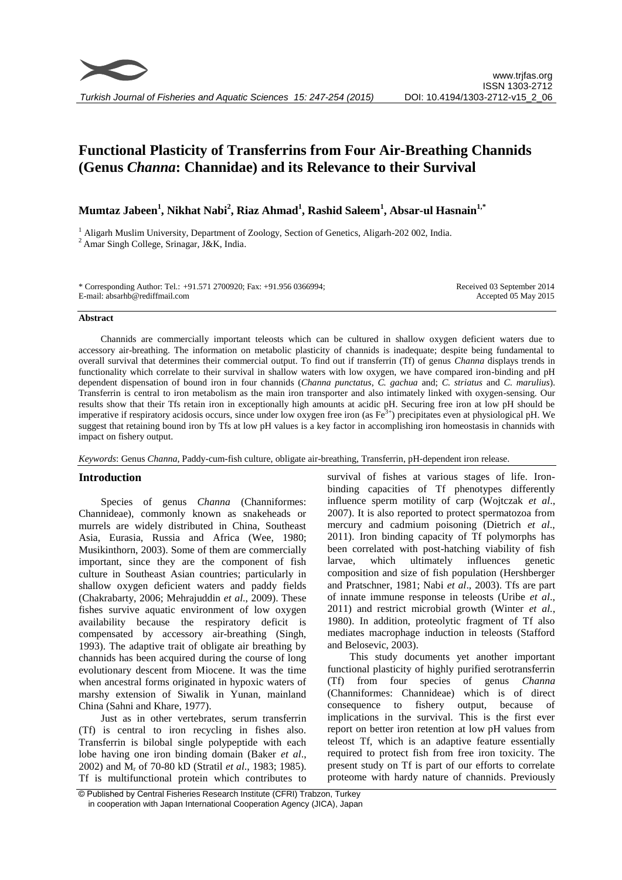# **Functional Plasticity of Transferrins from Four Air-Breathing Channids (Genus** *Channa***: Channidae) and its Relevance to their Survival**

**Mumtaz Jabeen<sup>1</sup> , Nikhat Nabi<sup>2</sup> , Riaz Ahmad<sup>1</sup> , Rashid Saleem<sup>1</sup> , Absar-ul Hasnain1,\***

<sup>1</sup> Aligarh Muslim University, Department of Zoology, Section of Genetics, Aligarh-202 002, India.  $2$  Amar Singh College, Srinagar, J&K, India.

\* Corresponding Author: Tel.: +91.571 2700920; Fax: +91.956 0366994; E-mail: absarhb@rediffmail.com

Received 03 September 2014 Accepted 05 May 2015

## **Abstract**

Channids are commercially important teleosts which can be cultured in shallow oxygen deficient waters due to accessory air-breathing. The information on metabolic plasticity of channids is inadequate; despite being fundamental to overall survival that determines their commercial output. To find out if transferrin (Tf) of genus *Channa* displays trends in functionality which correlate to their survival in shallow waters with low oxygen, we have compared iron-binding and pH dependent dispensation of bound iron in four channids (*Channa punctatus*, *C. gachua* and; *C. striatus* and *C. marulius*). Transferrin is central to iron metabolism as the main iron transporter and also intimately linked with oxygen-sensing. Our results show that their Tfs retain iron in exceptionally high amounts at acidic pH. Securing free iron at low pH should be imperative if respiratory acidosis occurs, since under low oxygen free iron (as Fe<sup>3+</sup>) precipitates even at physiological pH. We suggest that retaining bound iron by Tfs at low pH values is a key factor in accomplishing iron homeostasis in channids with impact on fishery output.

*Keywords*: Genus *Channa*, Paddy-cum-fish culture, obligate air-breathing, Transferrin, pH-dependent iron release.

# **Introduction**

Species of genus *Channa* (Channiformes: Channideae), commonly known as snakeheads or murrels are widely distributed in China, Southeast Asia, Eurasia, Russia and Africa (Wee, 1980; Musikinthorn, 2003). Some of them are commercially important, since they are the component of fish culture in Southeast Asian countries; particularly in shallow oxygen deficient waters and paddy fields (Chakrabarty, 2006; Mehrajuddin *et al*., 2009). These fishes survive aquatic environment of low oxygen availability because the respiratory deficit is compensated by accessory air-breathing (Singh, 1993). The adaptive trait of obligate air breathing by channids has been acquired during the course of long evolutionary descent from Miocene. It was the time when ancestral forms originated in hypoxic waters of marshy extension of Siwalik in Yunan, mainland China (Sahni and Khare, 1977).

Just as in other vertebrates, serum transferrin (Tf) is central to iron recycling in fishes also. Transferrin is bilobal single polypeptide with each lobe having one iron binding domain (Baker *et al*., 2002) and M<sup>r</sup> of 70-80 kD (Stratil *et al*., 1983; 1985). Tf is multifunctional protein which contributes to

survival of fishes at various stages of life. Ironbinding capacities of Tf phenotypes differently influence sperm motility of carp (Wojtczak *et al*., 2007). It is also reported to protect spermatozoa from mercury and cadmium poisoning (Dietrich *et al*., 2011). Iron binding capacity of Tf polymorphs has been correlated with post-hatching viability of fish larvae, which ultimately influences genetic composition and size of fish population (Hershberger and Pratschner, 1981; Nabi *et al*., 2003). Tfs are part of innate immune response in teleosts (Uribe *et al*., 2011) and restrict microbial growth (Winter *et al.*, 1980). In addition, proteolytic fragment of Tf also mediates macrophage induction in teleosts (Stafford and Belosevic, 2003).

This study documents yet another important functional plasticity of highly purified serotransferrin (Tf) from four species of genus *Channa* (Channiformes: Channideae) which is of direct consequence to fishery output, because of implications in the survival. This is the first ever report on better iron retention at low pH values from teleost Tf, which is an adaptive feature essentially required to protect fish from free iron toxicity. The present study on Tf is part of our efforts to correlate proteome with hardy nature of channids. Previously

<sup>©</sup> Published by Central Fisheries Research Institute (CFRI) Trabzon, Turkey in cooperation with Japan International Cooperation Agency (JICA), Japan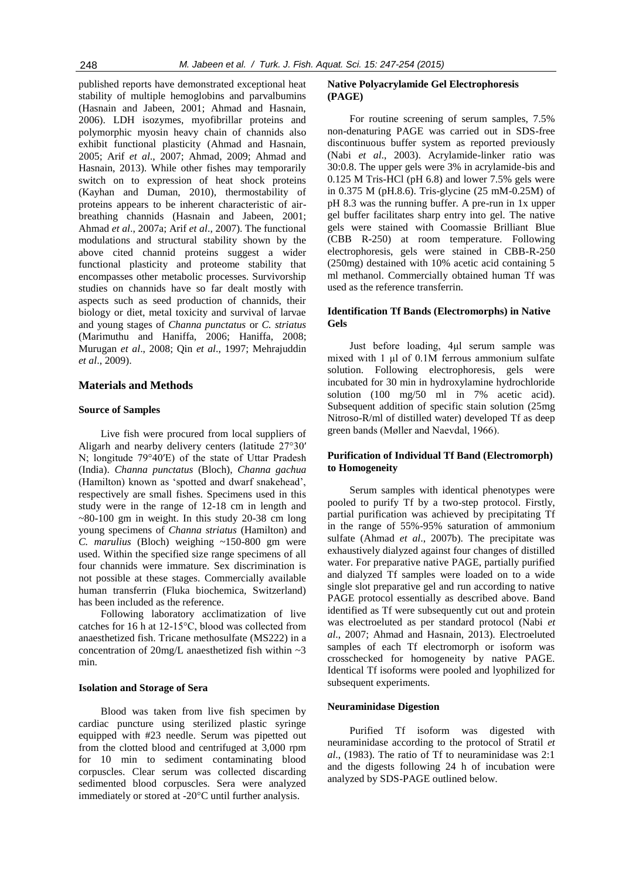published reports have demonstrated exceptional heat stability of multiple hemoglobins and parvalbumins (Hasnain and Jabeen, 2001; Ahmad and Hasnain, 2006). LDH isozymes, myofibrillar proteins and polymorphic myosin heavy chain of channids also exhibit functional plasticity (Ahmad and Hasnain, 2005; Arif *et al*., 2007; Ahmad, 2009; Ahmad and Hasnain, 2013). While other fishes may temporarily switch on to expression of heat shock proteins (Kayhan and Duman, 2010), thermostability of proteins appears to be inherent characteristic of airbreathing channids (Hasnain and Jabeen, 2001; Ahmad *et al*., 2007a; Arif *et al*., 2007). The functional modulations and structural stability shown by the above cited channid proteins suggest a wider functional plasticity and proteome stability that encompasses other metabolic processes. Survivorship studies on channids have so far dealt mostly with aspects such as seed production of channids, their biology or diet, metal toxicity and survival of larvae and young stages of *Channa punctatus* or *C. striatus* (Marimuthu and Haniffa, 2006; Haniffa, 2008; Murugan *et al*., 2008; Qin *et al*., 1997; Mehrajuddin *et al*., 2009).

# **Materials and Methods**

## **Source of Samples**

Live fish were procured from local suppliers of Aligarh and nearby delivery centers (latitude 27°30′ N; longitude 79°40′E) of the state of Uttar Pradesh (India). *Channa punctatus* (Bloch), *Channa gachua*  (Hamilton) known as 'spotted and dwarf snakehead', respectively are small fishes. Specimens used in this study were in the range of 12-18 cm in length and  $\sim$ 80-100 gm in weight. In this study 20-38 cm long young specimens of *Channa striatus* (Hamilton) and *C. marulius* (Bloch) weighing ~150-800 gm were used. Within the specified size range specimens of all four channids were immature. Sex discrimination is not possible at these stages. Commercially available human transferrin (Fluka biochemica, Switzerland) has been included as the reference.

Following laboratory acclimatization of live catches for 16 h at 12-15°C, blood was collected from anaesthetized fish. Tricane methosulfate (MS222) in a concentration of  $20$ mg/L anaesthetized fish within  $\sim$ 3 min.

#### **Isolation and Storage of Sera**

Blood was taken from live fish specimen by cardiac puncture using sterilized plastic syringe equipped with #23 needle. Serum was pipetted out from the clotted blood and centrifuged at 3,000 rpm for 10 min to sediment contaminating blood corpuscles. Clear serum was collected discarding sedimented blood corpuscles. Sera were analyzed immediately or stored at -20°C until further analysis.

# **Native Polyacrylamide Gel Electrophoresis (PAGE)**

For routine screening of serum samples, 7.5% non-denaturing PAGE was carried out in SDS-free discontinuous buffer system as reported previously (Nabi *et al*., 2003). Acrylamide-linker ratio was 30:0.8. The upper gels were 3% in acrylamide-bis and 0.125 M Tris-HCl (pH 6.8) and lower 7.5% gels were in 0.375 M (pH.8.6). Tris-glycine (25 mM-0.25M) of pH 8.3 was the running buffer. A pre-run in 1x upper gel buffer facilitates sharp entry into gel. The native gels were stained with Coomassie Brilliant Blue (CBB R-250) at room temperature. Following electrophoresis, gels were stained in CBB-R-250 (250mg) destained with 10% acetic acid containing 5 ml methanol. Commercially obtained human Tf was used as the reference transferrin.

# **Identification Tf Bands (Electromorphs) in Native Gels**

Just before loading, 4μl serum sample was mixed with 1 μl of 0.1M ferrous ammonium sulfate solution. Following electrophoresis, gels were incubated for 30 min in hydroxylamine hydrochloride solution (100 mg/50 ml in 7% acetic acid). Subsequent addition of specific stain solution (25mg Nitroso-R/ml of distilled water) developed Tf as deep green bands (Møller and Naevdal, 1966).

# **Purification of Individual Tf Band (Electromorph) to Homogeneity**

Serum samples with identical phenotypes were pooled to purify Tf by a two-step protocol. Firstly, partial purification was achieved by precipitating Tf in the range of 55%-95% saturation of ammonium sulfate (Ahmad *et al*., 2007b). The precipitate was exhaustively dialyzed against four changes of distilled water. For preparative native PAGE, partially purified and dialyzed Tf samples were loaded on to a wide single slot preparative gel and run according to native PAGE protocol essentially as described above. Band identified as Tf were subsequently cut out and protein was electroeluted as per standard protocol (Nabi *et al*., 2007; Ahmad and Hasnain, 2013). Electroeluted samples of each Tf electromorph or isoform was crosschecked for homogeneity by native PAGE. Identical Tf isoforms were pooled and lyophilized for subsequent experiments.

## **Neuraminidase Digestion**

Purified Tf isoform was digested with neuraminidase according to the protocol of Stratil *et al*., (1983). The ratio of Tf to neuraminidase was 2:1 and the digests following 24 h of incubation were analyzed by SDS-PAGE outlined below.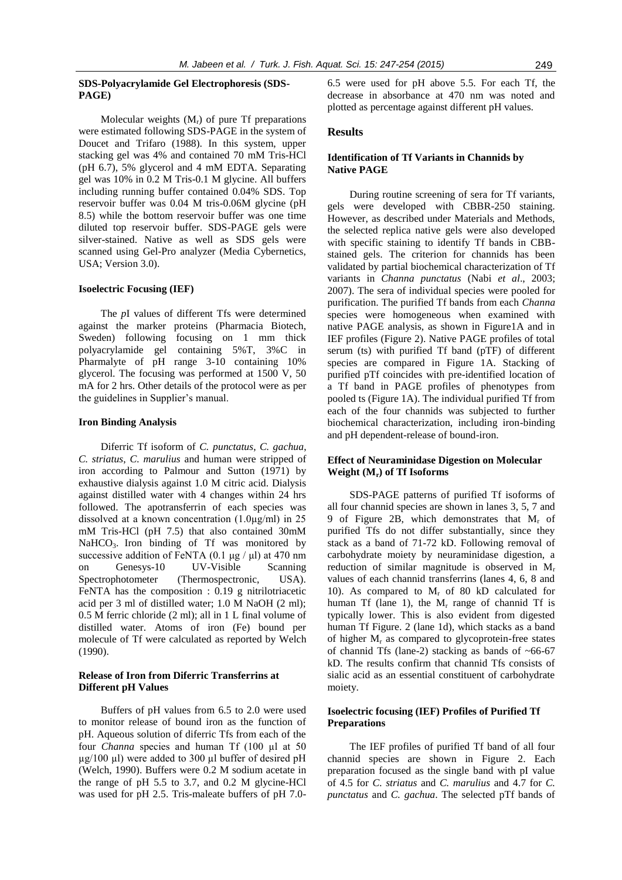# **SDS-Polyacrylamide Gel Electrophoresis (SDS-PAGE)**

Molecular weights  $(M_r)$  of pure Tf preparations were estimated following SDS-PAGE in the system of Doucet and Trifaro (1988). In this system, upper stacking gel was 4% and contained 70 mM Tris-HCl (pH 6.7), 5% glycerol and 4 mM EDTA. Separating gel was 10% in 0.2 M Tris-0.1 M glycine. All buffers including running buffer contained 0.04% SDS. Top reservoir buffer was 0.04 M tris-0.06M glycine (pH 8.5) while the bottom reservoir buffer was one time diluted top reservoir buffer. SDS-PAGE gels were silver-stained. Native as well as SDS gels were scanned using Gel-Pro analyzer (Media Cybernetics, USA; Version 3.0).

#### **Isoelectric Focusing (IEF)**

The *p*I values of different Tfs were determined against the marker proteins (Pharmacia Biotech, Sweden) following focusing on 1 mm thick polyacrylamide gel containing 5%T, 3%C in Pharmalyte of pH range 3-10 containing 10% glycerol. The focusing was performed at 1500 V, 50 mA for 2 hrs. Other details of the protocol were as per the guidelines in Supplier's manual.

## **Iron Binding Analysis**

Diferric Tf isoform of *C. punctatus*, *C. gachua*, *C. striatus*, *C. marulius* and human were stripped of iron according to Palmour and Sutton (1971) by exhaustive dialysis against 1.0 M citric acid. Dialysis against distilled water with 4 changes within 24 hrs followed. The apotransferrin of each species was dissolved at a known concentration (1.0µg/ml) in 25 mM Tris-HCl (pH 7.5) that also contained 30mM NaHCO<sub>3</sub>. Iron binding of Tf was monitored by successive addition of FeNTA (0.1  $\mu$ g /  $\mu$ l) at 470 nm on Genesys-10 UV-Visible Scanning Spectrophotometer (Thermospectronic, USA). FeNTA has the composition : 0.19 g nitrilotriacetic acid per 3 ml of distilled water; 1.0 M NaOH (2 ml); 0.5 M ferric chloride (2 ml); all in 1 L final volume of distilled water. Atoms of iron (Fe) bound per molecule of Tf were calculated as reported by Welch (1990).

# **Release of Iron from Diferric Transferrins at Different pH Values**

Buffers of pH values from 6.5 to 2.0 were used to monitor release of bound iron as the function of pH. Aqueous solution of diferric Tfs from each of the four *Channa* species and human Tf (100 µl at 50  $\mu$ g/100  $\mu$ l) were added to 300  $\mu$ l buffer of desired pH (Welch, 1990). Buffers were 0.2 M sodium acetate in the range of pH 5.5 to 3.7, and 0.2 M glycine-HCl was used for pH 2.5. Tris-maleate buffers of pH 7.06.5 were used for pH above 5.5. For each Tf, the decrease in absorbance at 470 nm was noted and plotted as percentage against different pH values.

# **Results**

# **Identification of Tf Variants in Channids by Native PAGE**

During routine screening of sera for Tf variants, gels were developed with CBBR-250 staining. However, as described under Materials and Methods, the selected replica native gels were also developed with specific staining to identify Tf bands in CBBstained gels. The criterion for channids has been validated by partial biochemical characterization of Tf variants in *Channa punctatus* (Nabi *et al*., 2003; 2007). The sera of individual species were pooled for purification. The purified Tf bands from each *Channa*  species were homogeneous when examined with native PAGE analysis, as shown in Figure1A and in IEF profiles (Figure 2). Native PAGE profiles of total serum (ts) with purified Tf band (pTF) of different species are compared in Figure 1A. Stacking of purified pTf coincides with pre-identified location of a Tf band in PAGE profiles of phenotypes from pooled ts (Figure 1A). The individual purified Tf from each of the four channids was subjected to further biochemical characterization, including iron-binding and pH dependent-release of bound-iron.

# **Effect of Neuraminidase Digestion on Molecular Weight (Mr) of Tf Isoforms**

SDS-PAGE patterns of purified Tf isoforms of all four channid species are shown in lanes 3, 5, 7 and 9 of Figure 2B, which demonstrates that  $M_r$  of purified Tfs do not differ substantially, since they stack as a band of 71-72 kD. Following removal of carbohydrate moiety by neuraminidase digestion, a reduction of similar magnitude is observed in M<sub>r</sub> values of each channid transferrins (lanes 4, 6, 8 and 10). As compared to  $M_r$  of 80 kD calculated for human Tf (lane 1), the  $M_r$  range of channid Tf is typically lower. This is also evident from digested human Tf Figure. 2 (lane 1d), which stacks as a band of higher  $M_r$  as compared to glycoprotein-free states of channid Tfs (lane-2) stacking as bands of  $~66-67$ kD. The results confirm that channid Tfs consists of sialic acid as an essential constituent of carbohydrate moiety.

# **Isoelectric focusing (IEF) Profiles of Purified Tf Preparations**

The IEF profiles of purified Tf band of all four channid species are shown in Figure 2. Each preparation focused as the single band with pI value of 4.5 for *C. striatus* and *C. marulius* and 4.7 for *C. punctatus* and *C. gachua*. The selected pTf bands of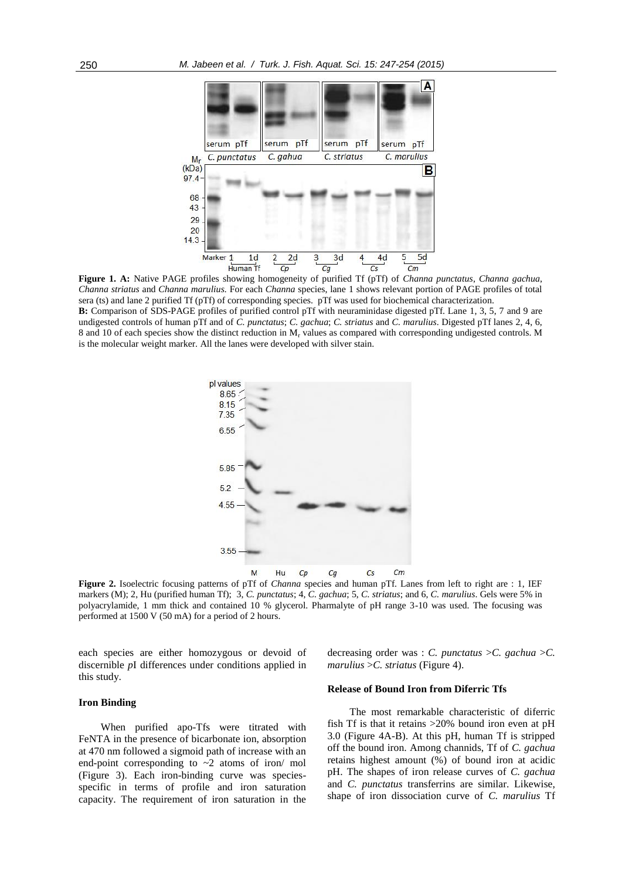

**Figure 1. A:** Native PAGE profiles showing homogeneity of purified Tf (pTf) of *Channa punctatus*, *Channa gachua*, *Channa striatus* and *Channa marulius.* For each *Channa* species, lane 1 shows relevant portion of PAGE profiles of total sera (ts) and lane 2 purified Tf (pTf) of corresponding species. pTf was used for biochemical characterization.

**B:** Comparison of SDS-PAGE profiles of purified control pTf with neuraminidase digested pTf. Lane 1, 3, 5, 7 and 9 are undigested controls of human pTf and of *C. punctatus*; *C. gachua*; *C. striatus* and *C. marulius*. Digested pTf lanes 2, 4, 6, 8 and 10 of each species show the distinct reduction in M<sub>r</sub> values as compared with corresponding undigested controls. M is the molecular weight marker. All the lanes were developed with silver stain.



**Figure 2.** Isoelectric focusing patterns of pTf of *Channa* species and human pTf. Lanes from left to right are : 1, IEF markers (M); 2, Hu (purified human Tf); 3, *C. punctatus*; 4, *C. gachua*; 5, *C. striatus*; and 6, *C. marulius*. Gels were 5% in polyacrylamide, 1 mm thick and contained 10 % glycerol. Pharmalyte of pH range 3-10 was used. The focusing was performed at 1500 V (50 mA) for a period of 2 hours.

each species are either homozygous or devoid of discernible *p*I differences under conditions applied in this study.

decreasing order was : *C. punctatus* >*C. gachua* >*C. marulius* >*C. striatus* (Figure 4).

#### **Iron Binding**

When purified apo-Tfs were titrated with FeNTA in the presence of bicarbonate ion, absorption at 470 nm followed a sigmoid path of increase with an end-point corresponding to  $\sim$ 2 atoms of iron/ mol (Figure 3). Each iron-binding curve was speciesspecific in terms of profile and iron saturation capacity. The requirement of iron saturation in the

# **Release of Bound Iron from Diferric Tfs**

The most remarkable characteristic of diferric fish Tf is that it retains >20% bound iron even at pH 3.0 (Figure 4A-B). At this pH, human Tf is stripped off the bound iron. Among channids, Tf of *C. gachua*  retains highest amount (%) of bound iron at acidic pH. The shapes of iron release curves of *C. gachua*  and *C. punctatus* transferrins are similar. Likewise, shape of iron dissociation curve of *C. marulius* Tf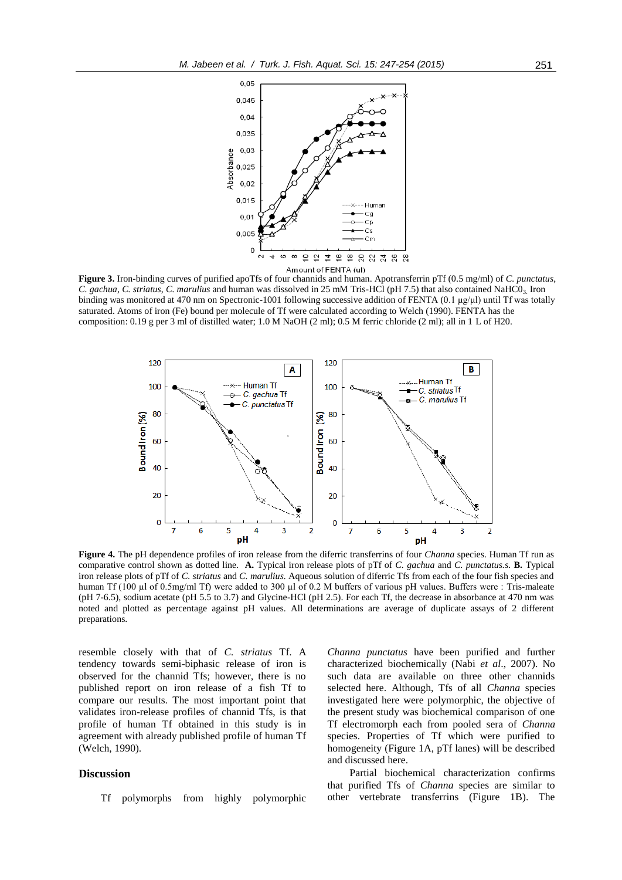

**Figure 3.** Iron-binding curves of purified apoTfs of four channids and human. Apotransferrin pTf (0.5 mg/ml) of *C. punctatus*, *C. gachua*, *C. striatus*, *C. marulius* and human was dissolved in 25 mM Tris-HCl (pH 7.5) that also contained NaHC03. Iron binding was monitored at 470 nm on Spectronic-1001 following successive addition of FENTA (0.1 μg/μl) until Tf was totally saturated. Atoms of iron (Fe) bound per molecule of Tf were calculated according to Welch (1990). FENTA has the composition: 0.19 g per 3 ml of distilled water; 1.0 M NaOH (2 ml); 0.5 M ferric chloride (2 ml); all in 1 L of H20.



**Figure 4.** The pH dependence profiles of iron release from the diferric transferrins of four *Channa* species. Human Tf run as comparative control shown as dotted line. **A.** Typical iron release plots of pTf of *C. gachua* and *C. punctatus.s.* **B.** Typical iron release plots of pTf of *C. striatus* and *C. marulius.* Aqueous solution of diferric Tfs from each of the four fish species and human Tf (100 µl of 0.5mg/ml Tf) were added to 300 µl of 0.2 M buffers of various pH values. Buffers were : Tris-maleate (pH 7-6.5), sodium acetate (pH 5.5 to 3.7) and Glycine-HCl (pH 2.5). For each Tf, the decrease in absorbance at 470 nm was noted and plotted as percentage against pH values. All determinations are average of duplicate assays of 2 different preparations.

resemble closely with that of *C. striatus* Tf. A tendency towards semi-biphasic release of iron is observed for the channid Tfs; however, there is no published report on iron release of a fish Tf to compare our results. The most important point that validates iron-release profiles of channid Tfs, is that profile of human Tf obtained in this study is in agreement with already published profile of human Tf (Welch, 1990).

# **Discussion**

Tf polymorphs from highly polymorphic

*Channa punctatus* have been purified and further characterized biochemically (Nabi *et al*., 2007). No such data are available on three other channids selected here. Although, Tfs of all *Channa* species investigated here were polymorphic, the objective of the present study was biochemical comparison of one Tf electromorph each from pooled sera of *Channa*  species. Properties of Tf which were purified to homogeneity (Figure 1A, pTf lanes) will be described and discussed here.

Partial biochemical characterization confirms that purified Tfs of *Channa* species are similar to other vertebrate transferrins (Figure 1B). The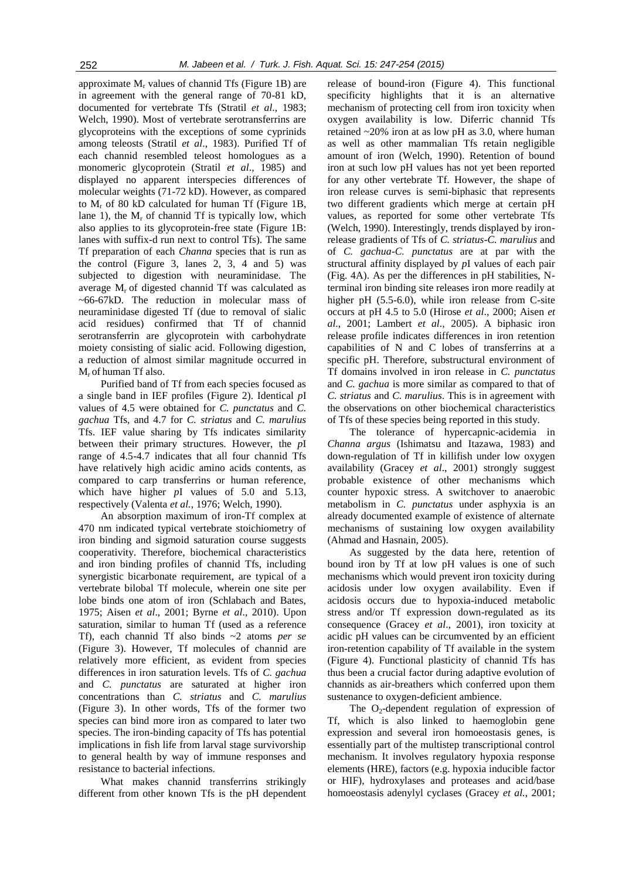approximate  $M_r$  values of channid Tfs (Figure 1B) are in agreement with the general range of 70-81 kD, documented for vertebrate Tfs (Stratil *et al*., 1983; Welch, 1990). Most of vertebrate serotransferrins are glycoproteins with the exceptions of some cyprinids among teleosts (Stratil *et al*., 1983). Purified Tf of each channid resembled teleost homologues as a monomeric glycoprotein (Stratil *et al*., 1985) and displayed no apparent interspecies differences of molecular weights (71-72 kD). However, as compared to  $M_r$  of 80 kD calculated for human Tf (Figure 1B, lane 1), the  $M_r$  of channid Tf is typically low, which also applies to its glycoprotein-free state (Figure 1B: lanes with suffix-d run next to control Tfs). The same Tf preparation of each *Channa* species that is run as the control (Figure 3, lanes 2, 3, 4 and 5) was subjected to digestion with neuraminidase. The average  $M_r$  of digested channid Tf was calculated as ~66-67kD. The reduction in molecular mass of neuraminidase digested Tf (due to removal of sialic acid residues) confirmed that Tf of channid serotransferrin are glycoprotein with carbohydrate moiety consisting of sialic acid. Following digestion, a reduction of almost similar magnitude occurred in Mr of human Tf also.

Purified band of Tf from each species focused as a single band in IEF profiles (Figure 2). Identical *p*I values of 4.5 were obtained for *C. punctatus* and *C. gachua* Tfs, and 4.7 for *C. striatus* and *C. marulius* Tfs. IEF value sharing by Tfs indicates similarity between their primary structures. However, the *p*I range of 4.5-4.7 indicates that all four channid Tfs have relatively high acidic amino acids contents, as compared to carp transferrins or human reference, which have higher *p*I values of 5.0 and 5.13, respectively (Valenta *et al.*, 1976; Welch, 1990).

An absorption maximum of iron-Tf complex at 470 nm indicated typical vertebrate stoichiometry of iron binding and sigmoid saturation course suggests cooperativity. Therefore, biochemical characteristics and iron binding profiles of channid Tfs, including synergistic bicarbonate requirement, are typical of a vertebrate bilobal Tf molecule, wherein one site per lobe binds one atom of iron (Schlabach and Bates, 1975; Aisen *et al*., 2001; Byrne *et al*., 2010). Upon saturation, similar to human Tf (used as a reference Tf), each channid Tf also binds ~2 atoms *per se* (Figure 3). However, Tf molecules of channid are relatively more efficient, as evident from species differences in iron saturation levels. Tfs of *C. gachua*  and *C. punctatus* are saturated at higher iron concentrations than *C. striatus* and *C. marulius* (Figure 3). In other words, Tfs of the former two species can bind more iron as compared to later two species. The iron-binding capacity of Tfs has potential implications in fish life from larval stage survivorship to general health by way of immune responses and resistance to bacterial infections.

What makes channid transferrins strikingly different from other known Tfs is the pH dependent

release of bound-iron (Figure 4). This functional specificity highlights that it is an alternative mechanism of protecting cell from iron toxicity when oxygen availability is low. Diferric channid Tfs retained ~20% iron at as low pH as 3.0, where human as well as other mammalian Tfs retain negligible amount of iron (Welch, 1990). Retention of bound iron at such low pH values has not yet been reported for any other vertebrate Tf. However, the shape of iron release curves is semi-biphasic that represents two different gradients which merge at certain pH values, as reported for some other vertebrate Tfs (Welch, 1990). Interestingly, trends displayed by ironrelease gradients of Tfs of *C. striatus*-*C. marulius* and of *C. gachua*-*C. punctatus* are at par with the structural affinity displayed by *p*I values of each pair (Fig. 4A). As per the differences in pH stabilities, Nterminal iron binding site releases iron more readily at higher pH (5.5-6.0), while iron release from C-site occurs at pH 4.5 to 5.0 (Hirose *et al*., 2000; Aisen *et al*., 2001; Lambert *et al*., 2005). A biphasic iron release profile indicates differences in iron retention capabilities of N and C lobes of transferrins at a specific pH. Therefore, substructural environment of Tf domains involved in iron release in *C. punctatus*  and *C. gachua* is more similar as compared to that of *C. striatus* and *C. marulius*. This is in agreement with the observations on other biochemical characteristics of Tfs of these species being reported in this study.

The tolerance of hypercapnic-acidemia in *Channa argus* (Ishimatsu and Itazawa, 1983) and down-regulation of Tf in killifish under low oxygen availability (Gracey *et al*., 2001) strongly suggest probable existence of other mechanisms which counter hypoxic stress. A switchover to anaerobic metabolism in *C. punctatus* under asphyxia is an already documented example of existence of alternate mechanisms of sustaining low oxygen availability (Ahmad and Hasnain, 2005).

As suggested by the data here, retention of bound iron by Tf at low pH values is one of such mechanisms which would prevent iron toxicity during acidosis under low oxygen availability. Even if acidosis occurs due to hypoxia-induced metabolic stress and/or Tf expression down-regulated as its consequence (Gracey *et al*., 2001), iron toxicity at acidic pH values can be circumvented by an efficient iron-retention capability of Tf available in the system (Figure 4). Functional plasticity of channid Tfs has thus been a crucial factor during adaptive evolution of channids as air-breathers which conferred upon them sustenance to oxygen-deficient ambience.

The  $O_2$ -dependent regulation of expression of Tf, which is also linked to haemoglobin gene expression and several iron homoeostasis genes, is essentially part of the multistep transcriptional control mechanism. It involves regulatory hypoxia response elements (HRE), factors (e.g. hypoxia inducible factor or HIF), hydroxylases and proteases and acid/base homoeostasis adenylyl cyclases (Gracey *et al.*, 2001;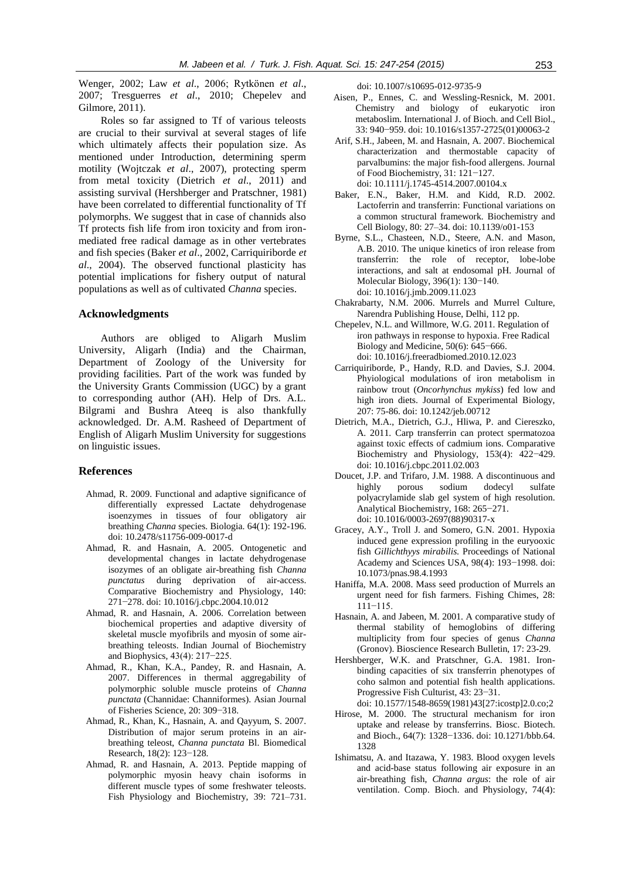Wenger, 2002; Law *et al*., 2006; Rytkönen *et al*., 2007; Tresguerres *et al*., 2010; Chepelev and Gilmore, 2011).

Roles so far assigned to Tf of various teleosts are crucial to their survival at several stages of life which ultimately affects their population size. As mentioned under Introduction, determining sperm motility (Wojtczak *et al*., 2007), protecting sperm from metal toxicity (Dietrich *et al*., 2011) and assisting survival (Hershberger and Pratschner, 1981) have been correlated to differential functionality of Tf polymorphs. We suggest that in case of channids also Tf protects fish life from iron toxicity and from ironmediated free radical damage as in other vertebrates and fish species (Baker *et al*., 2002, Carriquiriborde *et al*., 2004). The observed functional plasticity has potential implications for fishery output of natural populations as well as of cultivated *Channa* species.

# **Acknowledgments**

Authors are obliged to Aligarh Muslim University, Aligarh (India) and the Chairman, Department of Zoology of the University for providing facilities. Part of the work was funded by the University Grants Commission (UGC) by a grant to corresponding author (AH). Help of Drs. A.L. Bilgrami and Bushra Ateeq is also thankfully acknowledged. Dr. A.M. Rasheed of Department of English of Aligarh Muslim University for suggestions on linguistic issues.

#### **References**

- Ahmad, R. 2009. Functional and adaptive significance of differentially expressed Lactate dehydrogenase isoenzymes in tissues of four obligatory air breathing *Channa* species. Biologia. 64(1): 192-196. doi: 10.2478/s11756-009-0017-d
- Ahmad, R. and Hasnain, A. 2005. Ontogenetic and developmental changes in lactate dehydrogenase isozymes of an obligate air-breathing fish *Channa punctatus* during deprivation of air-access. Comparative Biochemistry and Physiology, 140: 271−278. doi: 10.1016/j.cbpc.2004.10.012
- Ahmad, R. and Hasnain, A. 2006. Correlation between biochemical properties and adaptive diversity of skeletal muscle myofibrils and myosin of some airbreathing teleosts. Indian Journal of Biochemistry and Biophysics, 43(4): 217−225.
- Ahmad, R., Khan, K.A., Pandey, R. and Hasnain, A. 2007. Differences in thermal aggregability of polymorphic soluble muscle proteins of *Channa punctata* (Channidae: Channiformes). Asian Journal of Fisheries Science, 20: 309−318.
- Ahmad, R., Khan, K., Hasnain, A. and Qayyum, S. 2007. Distribution of major serum proteins in an airbreathing teleost, *Channa punctata* Bl. Biomedical Research, 18(2): 123−128.
- Ahmad, R. and Hasnain, A. 2013. Peptide mapping of polymorphic myosin heavy chain isoforms in different muscle types of some freshwater teleosts. Fish Physiology and Biochemistry, 39: 721–731.

doi: 10.1007/s10695-012-9735-9

- Aisen, P., Ennes, C. and Wessling-Resnick, M. 2001. Chemistry and biology of eukaryotic iron metaboslim. International J. of Bioch. and Cell Biol., 33: 940−959. doi: 10.1016/s1357-2725(01)00063-2
- Arif, S.H., Jabeen, M. and Hasnain, A. 2007. Biochemical characterization and thermostable capacity of parvalbumins: the major fish-food allergens. Journal of Food Biochemistry, 31: 121−127. doi: 10.1111/j.1745-4514.2007.00104.x
- Baker, E.N., Baker, H.M. and Kidd, R.D. 2002. Lactoferrin and transferrin: Functional variations on a common structural framework. Biochemistry and Cell Biology, 80: 27–34. doi: 10.1139/o01-153
- Byrne, S.L., Chasteen, N.D., Steere, A.N. and Mason, A.B. 2010. The unique kinetics of iron release from transferrin: the role of receptor, lobe-lobe interactions, and salt at endosomal pH. Journal of Molecular Biology, 396(1): 130−140. doi: 10.1016/j.jmb.2009.11.023
- Chakrabarty, N.M. 2006. Murrels and Murrel Culture, Narendra Publishing House, Delhi, 112 pp.
- Chepelev, N.L. and Willmore, W.G. 2011[. Regulation of](http://www.sciencedirect.com/science/article/pii/S0891584910014437)  [iron pathways in response to hypoxia.](http://www.sciencedirect.com/science/article/pii/S0891584910014437) Free Radical Biology and Medicine, 50(6): 645−666. doi: 10.1016/j.freeradbiomed.2010.12.023
- Carriquiriborde, P., Handy, R.D. and Davies, S.J. 2004. Phyiological modulations of iron metabolism in rainbow trout (*Oncorhynchus mykiss*) fed low and high iron diets. Journal of Experimental Biology, 207: 75-86. doi: 10.1242/jeb.00712
- Dietrich, M.A., Dietrich, G.J., Hliwa, P. and Ciereszko, A. 2011. Carp transferrin can protect spermatozoa against toxic effects of cadmium ions. Comparative Biochemistry and Physiology, 153(4): 422−429. doi: 10.1016/j.cbpc.2011.02.003
- Doucet, J.P. and Trifaro, J.M. 1988. A discontinuous and highly porous sodium dodecyl sulfate polyacrylamide slab gel system of high resolution. Analytical Biochemistry, 168: 265−271. doi: 10.1016/0003-2697(88)90317-x
- Gracey, A.Y., Troll J. and Somero, G.N. 2001. Hypoxia induced gene expression profiling in the euryooxic fish *Gillichthyys mirabilis.* Proceedings of National Academy and Sciences USA, 98(4): 193−1998. doi: 10.1073/pnas.98.4.1993
- Haniffa, M.A. 2008. Mass seed production of Murrels an urgent need for fish farmers. Fishing Chimes, 28: 111−115.
- Hasnain, A. and Jabeen, M. 2001. A comparative study of thermal stability of hemoglobins of differing multiplicity from four species of genus *Channa*  (Gronov). Bioscience Research Bulletin, 17: 23-29.
- Hershberger, W.K. and Pratschner, G.A. 1981. Ironbinding capacities of six transferrin phenotypes of coho salmon and potential fish health applications. Progressive Fish Culturist, 43: 23−31. doi: 10.1577/1548-8659(1981)43[27:icostp]2.0.co;2
- Hirose, M. 2000. The structural mechanism for iron uptake and release by transferrins. Biosc. Biotech. and Bioch., 64(7): 1328−1336. doi: 10.1271/bbb.64. 1328
- Ishimatsu, A. and Itazawa, Y. 1983. Blood oxygen levels and acid-base status following air exposure in an air-breathing fish, *Channa argus*: the role of air ventilation. Comp. Bioch. and Physiology, 74(4):